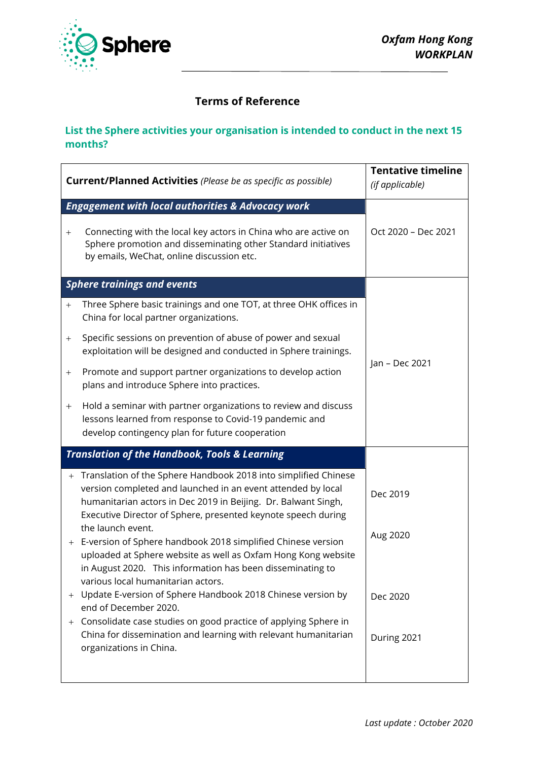

## **Terms of Reference**

## **List the Sphere activities your organisation is intended to conduct in the next 15 months?**

| <b>Current/Planned Activities</b> (Please be as specific as possible)                                                                                                                                                                                                                                                                                                                                                                                                                                                                                                                                                                                                                                                                                                                                                                                                        | <b>Tentative timeline</b><br>(if applicable)    |
|------------------------------------------------------------------------------------------------------------------------------------------------------------------------------------------------------------------------------------------------------------------------------------------------------------------------------------------------------------------------------------------------------------------------------------------------------------------------------------------------------------------------------------------------------------------------------------------------------------------------------------------------------------------------------------------------------------------------------------------------------------------------------------------------------------------------------------------------------------------------------|-------------------------------------------------|
| <b>Engagement with local authorities &amp; Advocacy work</b><br>Connecting with the local key actors in China who are active on<br>Sphere promotion and disseminating other Standard initiatives<br>by emails, WeChat, online discussion etc.                                                                                                                                                                                                                                                                                                                                                                                                                                                                                                                                                                                                                                | Oct 2020 - Dec 2021                             |
| <b>Sphere trainings and events</b><br>Three Sphere basic trainings and one TOT, at three OHK offices in<br>$^{+}$<br>China for local partner organizations.<br>Specific sessions on prevention of abuse of power and sexual<br>$^{+}$<br>exploitation will be designed and conducted in Sphere trainings.<br>Promote and support partner organizations to develop action<br>$^{+}$<br>plans and introduce Sphere into practices.<br>Hold a seminar with partner organizations to review and discuss<br>$+$<br>lessons learned from response to Covid-19 pandemic and<br>develop contingency plan for future cooperation                                                                                                                                                                                                                                                      | Jan - Dec 2021                                  |
| <b>Translation of the Handbook, Tools &amp; Learning</b><br>Translation of the Sphere Handbook 2018 into simplified Chinese<br>$^{+}$<br>version completed and launched in an event attended by local<br>humanitarian actors in Dec 2019 in Beijing. Dr. Balwant Singh,<br>Executive Director of Sphere, presented keynote speech during<br>the launch event.<br>E-version of Sphere handbook 2018 simplified Chinese version<br>$+$<br>uploaded at Sphere website as well as Oxfam Hong Kong website<br>in August 2020. This information has been disseminating to<br>various local humanitarian actors.<br>Update E-version of Sphere Handbook 2018 Chinese version by<br>end of December 2020.<br>Consolidate case studies on good practice of applying Sphere in<br>$^{+}$<br>China for dissemination and learning with relevant humanitarian<br>organizations in China. | Dec 2019<br>Aug 2020<br>Dec 2020<br>During 2021 |